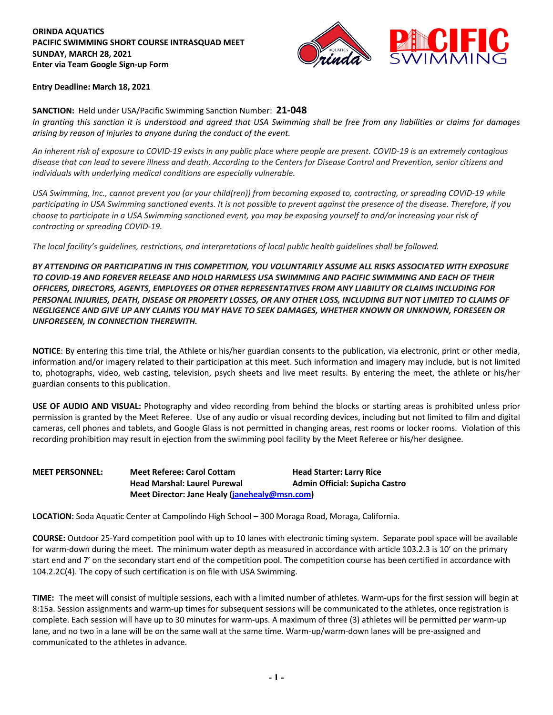### **ORINDA AQUATICS PACIFIC SWIMMING SHORT COURSE INTRASQUAD MEET SUNDAY, MARCH 28, 2021 Enter via Team Google Sign-up Form**



#### **Entry Deadline: March 18, 2021**

**SANCTION:** Held under USA/Pacific Swimming Sanction Number: **21-048**

*In granting this sanction it is understood and agreed that USA Swimming shall be free from any liabilities or claims for damages arising by reason of injuries to anyone during the conduct of the event.*

*An inherent risk of exposure to COVID-19 exists in any public place where people are present. COVID-19 is an extremely contagious disease that can lead to severe illness and death. According to the Centers for Disease Control and Prevention, senior citizens and individuals with underlying medical conditions are especially vulnerable.* 

*USA Swimming, Inc., cannot prevent you (or your child(ren)) from becoming exposed to, contracting, or spreading COVID-19 while participating in USA Swimming sanctioned events. It is not possible to prevent against the presence of the disease. Therefore, if you choose to participate in a USA Swimming sanctioned event, you may be exposing yourself to and/or increasing your risk of contracting or spreading COVID-19.*

*The local facility's guidelines, restrictions, and interpretations of local public health guidelines shall be followed.* 

*BY ATTENDING OR PARTICIPATING IN THIS COMPETITION, YOU VOLUNTARILY ASSUME ALL RISKS ASSOCIATED WITH EXPOSURE TO COVID-19 AND FOREVER RELEASE AND HOLD HARMLESS USA SWIMMING AND PACIFIC SWIMMING AND EACH OF THEIR OFFICERS, DIRECTORS, AGENTS, EMPLOYEES OR OTHER REPRESENTATIVES FROM ANY LIABILITY OR CLAIMS INCLUDING FOR PERSONAL INJURIES, DEATH, DISEASE OR PROPERTY LOSSES, OR ANY OTHER LOSS, INCLUDING BUT NOT LIMITED TO CLAIMS OF NEGLIGENCE AND GIVE UP ANY CLAIMS YOU MAY HAVE TO SEEK DAMAGES, WHETHER KNOWN OR UNKNOWN, FORESEEN OR UNFORESEEN, IN CONNECTION THEREWITH.* 

**NOTICE**: By entering this time trial, the Athlete or his/her guardian consents to the publication, via electronic, print or other media, information and/or imagery related to their participation at this meet. Such information and imagery may include, but is not limited to, photographs, video, web casting, television, psych sheets and live meet results. By entering the meet, the athlete or his/her guardian consents to this publication.

**USE OF AUDIO AND VISUAL:** Photography and video recording from behind the blocks or starting areas is prohibited unless prior permission is granted by the Meet Referee. Use of any audio or visual recording devices, including but not limited to film and digital cameras, cell phones and tablets, and Google Glass is not permitted in changing areas, rest rooms or locker rooms. Violation of this recording prohibition may result in ejection from the swimming pool facility by the Meet Referee or his/her designee.

**MEET PERSONNEL: Meet Referee: Carol Cottam Head Starter: Larry Rice Head Marshal: Laurel Purewal Admin Official: Supicha Castro Meet Director: Jane Healy (janehealy@msn.com)**

**LOCATION:** Soda Aquatic Center at Campolindo High School – 300 Moraga Road, Moraga, California.

**COURSE:** Outdoor 25-Yard competition pool with up to 10 lanes with electronic timing system. Separate pool space will be available for warm-down during the meet. The minimum water depth as measured in accordance with article 103.2.3 is 10' on the primary start end and 7' on the secondary start end of the competition pool. The competition course has been certified in accordance with 104.2.2C(4). The copy of such certification is on file with USA Swimming.

**TIME:** The meet will consist of multiple sessions, each with a limited number of athletes. Warm-ups for the first session will begin at 8:15a. Session assignments and warm-up times for subsequent sessions will be communicated to the athletes, once registration is complete. Each session will have up to 30 minutes for warm-ups. A maximum of three (3) athletes will be permitted per warm-up lane, and no two in a lane will be on the same wall at the same time. Warm-up/warm-down lanes will be pre-assigned and communicated to the athletes in advance.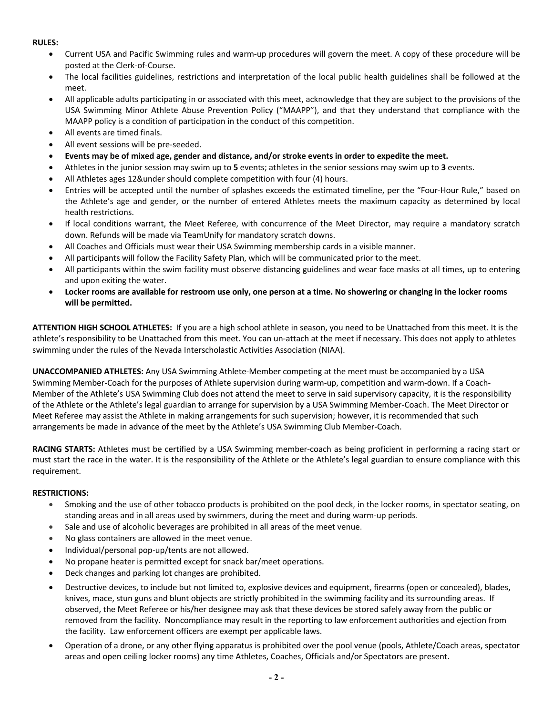## **RULES:**

- Current USA and Pacific Swimming rules and warm-up procedures will govern the meet. A copy of these procedure will be posted at the Clerk-of-Course.
- The local facilities guidelines, restrictions and interpretation of the local public health guidelines shall be followed at the meet.
- All applicable adults participating in or associated with this meet, acknowledge that they are subject to the provisions of the USA Swimming Minor Athlete Abuse Prevention Policy ("MAAPP"), and that they understand that compliance with the MAAPP policy is a condition of participation in the conduct of this competition.
- All events are timed finals.
- All event sessions will be pre-seeded.
- **Events may be of mixed age, gender and distance, and/or stroke events in order to expedite the meet.**
- Athletes in the junior session may swim up to **5** events; athletes in the senior sessions may swim up to **3** events.
- All Athletes ages 12&under should complete competition with four (4) hours.
- Entries will be accepted until the number of splashes exceeds the estimated timeline, per the "Four-Hour Rule," based on the Athlete's age and gender, or the number of entered Athletes meets the maximum capacity as determined by local health restrictions.
- If local conditions warrant, the Meet Referee, with concurrence of the Meet Director, may require a mandatory scratch down. Refunds will be made via TeamUnify for mandatory scratch downs.
- All Coaches and Officials must wear their USA Swimming membership cards in a visible manner.
- All participants will follow the Facility Safety Plan, which will be communicated prior to the meet.
- All participants within the swim facility must observe distancing guidelines and wear face masks at all times, up to entering and upon exiting the water.
- **Locker rooms are available for restroom use only, one person at a time. No showering or changing in the locker rooms will be permitted.**

**ATTENTION HIGH SCHOOL ATHLETES:** If you are a high school athlete in season, you need to be Unattached from this meet. It is the athlete's responsibility to be Unattached from this meet. You can un-attach at the meet if necessary. This does not apply to athletes swimming under the rules of the Nevada Interscholastic Activities Association (NIAA).

**UNACCOMPANIED ATHLETES:** Any USA Swimming Athlete-Member competing at the meet must be accompanied by a USA Swimming Member-Coach for the purposes of Athlete supervision during warm-up, competition and warm-down. If a Coach-Member of the Athlete's USA Swimming Club does not attend the meet to serve in said supervisory capacity, it is the responsibility of the Athlete or the Athlete's legal guardian to arrange for supervision by a USA Swimming Member-Coach. The Meet Director or Meet Referee may assist the Athlete in making arrangements for such supervision; however, it is recommended that such arrangements be made in advance of the meet by the Athlete's USA Swimming Club Member-Coach.

**RACING STARTS:** Athletes must be certified by a USA Swimming member-coach as being proficient in performing a racing start or must start the race in the water. It is the responsibility of the Athlete or the Athlete's legal guardian to ensure compliance with this requirement.

### **RESTRICTIONS:**

- Smoking and the use of other tobacco products is prohibited on the pool deck, in the locker rooms, in spectator seating, on standing areas and in all areas used by swimmers, during the meet and during warm-up periods.
- Sale and use of alcoholic beverages are prohibited in all areas of the meet venue.
- No glass containers are allowed in the meet venue.
- Individual/personal pop-up/tents are not allowed.
- No propane heater is permitted except for snack bar/meet operations.
- Deck changes and parking lot changes are prohibited.
- Destructive devices, to include but not limited to, explosive devices and equipment, firearms (open or concealed), blades, knives, mace, stun guns and blunt objects are strictly prohibited in the swimming facility and its surrounding areas. If observed, the Meet Referee or his/her designee may ask that these devices be stored safely away from the public or removed from the facility. Noncompliance may result in the reporting to law enforcement authorities and ejection from the facility. Law enforcement officers are exempt per applicable laws.
- Operation of a drone, or any other flying apparatus is prohibited over the pool venue (pools, Athlete/Coach areas, spectator areas and open ceiling locker rooms) any time Athletes, Coaches, Officials and/or Spectators are present.